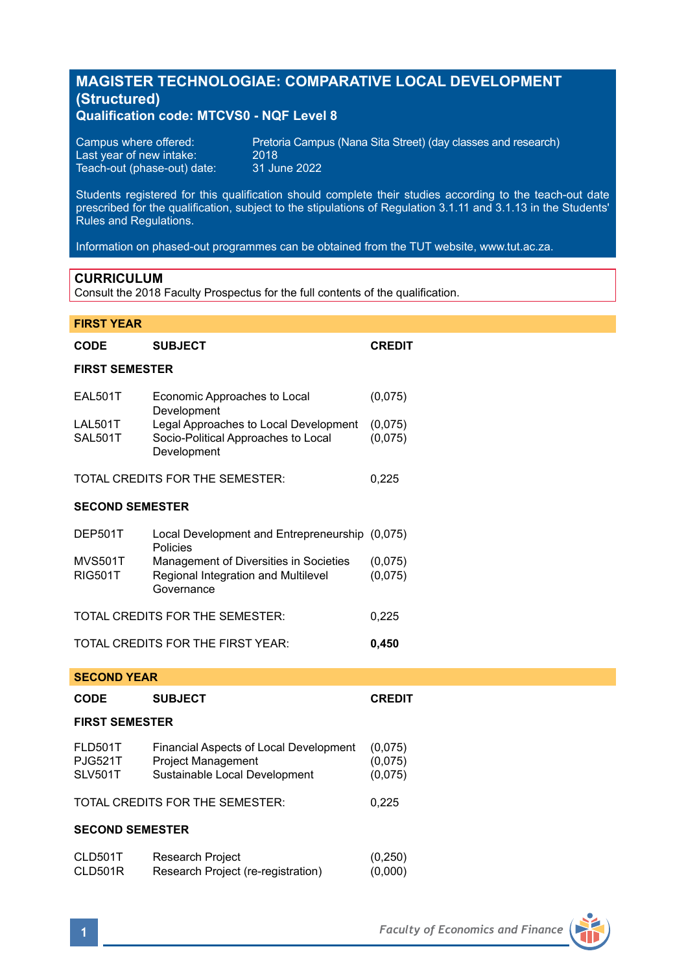# **MAGISTER TECHNOLOGIAE: COMPARATIVE LOCAL DEVELOPMENT (Structured)**

# **Qualification code: MTCVS0 - NQF Level 8**

| Campus where offered:       | Pretoria Campus (Nana Sita Street) (day classes and research) |
|-----------------------------|---------------------------------------------------------------|
| Last year of new intake:    | 2018                                                          |
| Teach-out (phase-out) date: | 31 June 2022                                                  |

Students registered for this qualification should complete their studies according to the teach-out date prescribed for the qualification, subject to the stipulations of Regulation 3.1.11 and 3.1.13 in the Students' Rules and Regulations.

Information on phased-out programmes can be obtained from the TUT website, www.tut.ac.za.

# **CURRICULUM**

Consult the 2018 Faculty Prospectus for the full contents of the qualification.

# **FIRST YEAR**

| <b>CODE</b>                                        | <b>SUBJECT</b>                                                                                       | <b>CREDIT</b>                 |  |
|----------------------------------------------------|------------------------------------------------------------------------------------------------------|-------------------------------|--|
| <b>FIRST SEMESTER</b>                              |                                                                                                      |                               |  |
| <b>EAL501T</b>                                     | Economic Approaches to Local<br>Development                                                          | (0,075)                       |  |
| LAL501T<br><b>SAL501T</b>                          | Legal Approaches to Local Development<br>Socio-Political Approaches to Local<br>Development          | (0,075)<br>(0,075)            |  |
| TOTAL CREDITS FOR THE SEMESTER:                    |                                                                                                      | 0,225                         |  |
| <b>SECOND SEMESTER</b>                             |                                                                                                      |                               |  |
| DEP501T                                            | Local Development and Entrepreneurship (0,075)<br>Policies                                           |                               |  |
| <b>MVS501T</b><br><b>RIG501T</b>                   | Management of Diversities in Societies<br>Regional Integration and Multilevel<br>Governance          | (0,075)<br>(0,075)            |  |
| TOTAL CREDITS FOR THE SEMESTER:                    |                                                                                                      | 0,225                         |  |
| TOTAL CREDITS FOR THE FIRST YEAR:                  |                                                                                                      | 0,450                         |  |
| <b>SECOND YEAR</b>                                 |                                                                                                      |                               |  |
| CODE                                               | <b>SUBJECT</b>                                                                                       | <b>CREDIT</b>                 |  |
| <b>FIRST SEMESTER</b>                              |                                                                                                      |                               |  |
| <b>FLD501T</b><br><b>PJG521T</b><br><b>SLV501T</b> | Financial Aspects of Local Development<br><b>Project Management</b><br>Sustainable Local Development | (0,075)<br>(0,075)<br>(0,075) |  |
| TOTAL CREDITS FOR THE SEMESTER:                    |                                                                                                      | 0,225                         |  |
| <b>SECOND SEMESTER</b>                             |                                                                                                      |                               |  |
| CLD501T<br>CLD501R                                 | Research Project<br>Research Project (re-registration)                                               | (0, 250)<br>(0,000)           |  |

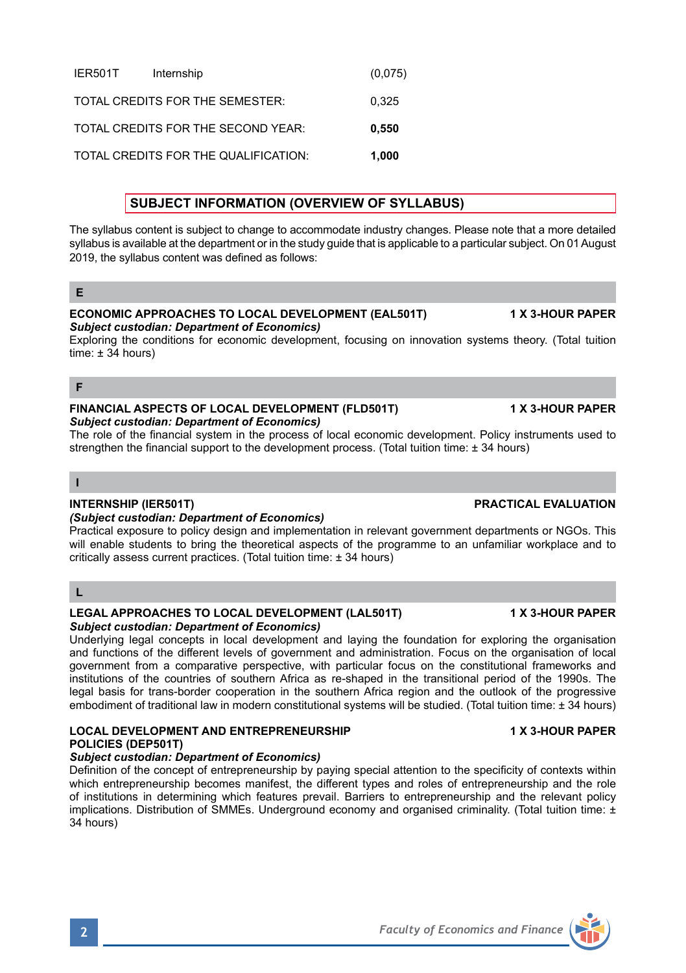# IER501T Internship (0,075) TOTAL CREDITS FOR THE SEMESTER: 0,325 TOTAL CREDITS FOR THE SECOND YEAR: **0,550** TOTAL CREDITS FOR THE QUALIFICATION: **1,000**

# **SUBJECT INFORMATION (OVERVIEW OF SYLLABUS)**

The syllabus content is subject to change to accommodate industry changes. Please note that a more detailed syllabus is available at the department or in the study guide that is applicable to a particular subject. On 01 August 2019, the syllabus content was defined as follows:

# **E**

#### **ECONOMIC APPROACHES TO LOCAL DEVELOPMENT (EAL501T) 1 X 3-HOUR PAPER**  *Subject custodian: Department of Economics)*

Exploring the conditions for economic development, focusing on innovation systems theory. (Total tuition  $time: +34 hours$ 

**F**

#### **FINANCIAL ASPECTS OF LOCAL DEVELOPMENT (FLD501T) 1 X 3-HOUR PAPER** *Subject custodian: Department of Economics)*

The role of the financial system in the process of local economic development. Policy instruments used to strengthen the financial support to the development process. (Total tuition time: ± 34 hours)

# **I**

# *(Subject custodian: Department of Economics)*

Practical exposure to policy design and implementation in relevant government departments or NGOs. This will enable students to bring the theoretical aspects of the programme to an unfamiliar workplace and to critically assess current practices. (Total tuition time: ± 34 hours)

# **L**

# **LEGAL APPROACHES TO LOCAL DEVELOPMENT (LAL501T) 1 X 3-HOUR PAPER** *Subject custodian: Department of Economics)*

Underlying legal concepts in local development and laying the foundation for exploring the organisation and functions of the different levels of government and administration. Focus on the organisation of local government from a comparative perspective, with particular focus on the constitutional frameworks and institutions of the countries of southern Africa as re-shaped in the transitional period of the 1990s. The legal basis for trans-border cooperation in the southern Africa region and the outlook of the progressive embodiment of traditional law in modern constitutional systems will be studied. (Total tuition time: ± 34 hours)

# **LOCAL DEVELOPMENT AND ENTREPRENEURSHIP 1 X 3-HOUR PAPER POLICIES (DEP501T)**

# *Subject custodian: Department of Economics)*

Definition of the concept of entrepreneurship by paying special attention to the specificity of contexts within which entrepreneurship becomes manifest, the different types and roles of entrepreneurship and the role of institutions in determining which features prevail. Barriers to entrepreneurship and the relevant policy implications. Distribution of SMMEs. Underground economy and organised criminality. (Total tuition time: ± 34 hours)

**INTERNSHIP (IER501T) PRACTICAL EVALUATION**